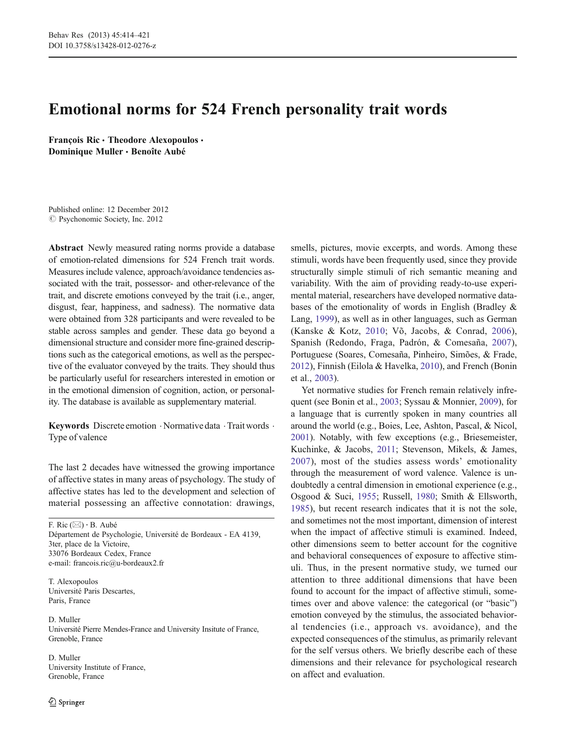# Emotional norms for 524 French personality trait words

François Ric · Theodore Alexopoulos · Dominique Muller · Benoîte Aubé

Published online: 12 December 2012  $\odot$  Psychonomic Society, Inc. 2012

Abstract Newly measured rating norms provide a database of emotion-related dimensions for 524 French trait words. Measures include valence, approach/avoidance tendencies associated with the trait, possessor- and other-relevance of the trait, and discrete emotions conveyed by the trait (i.e., anger, disgust, fear, happiness, and sadness). The normative data were obtained from 328 participants and were revealed to be stable across samples and gender. These data go beyond a dimensional structure and consider more fine-grained descriptions such as the categorical emotions, as well as the perspective of the evaluator conveyed by the traits. They should thus be particularly useful for researchers interested in emotion or in the emotional dimension of cognition, action, or personality. The database is available as supplementary material.

Keywords Discrete emotion . Normative data . Trait words . Type of valence

The last 2 decades have witnessed the growing importance of affective states in many areas of psychology. The study of affective states has led to the development and selection of material possessing an affective connotation: drawings,

F. Ric  $(\boxtimes) \cdot$  B. Aubé Département de Psychologie, Université de Bordeaux - EA 4139, 3ter, place de la Victoire, 33076 Bordeaux Cedex, France e-mail: francois.ric@u-bordeaux2.fr

T. Alexopoulos Université Paris Descartes, Paris, France

D. Muller Université Pierre Mendes-France and University Insitute of France, Grenoble, France

D. Muller University Institute of France, Grenoble, France

smells, pictures, movie excerpts, and words. Among these stimuli, words have been frequently used, since they provide structurally simple stimuli of rich semantic meaning and variability. With the aim of providing ready-to-use experimental material, researchers have developed normative databases of the emotionality of words in English (Bradley & Lang, [1999\)](#page-6-0), as well as in other languages, such as German (Kanske & Kotz, [2010](#page-6-0); Võ, Jacobs, & Conrad, [2006](#page-7-0)), Spanish (Redondo, Fraga, Padrón, & Comesaña, [2007](#page-6-0)), Portuguese (Soares, Comesaña, Pinheiro, Simões, & Frade, [2012](#page-6-0)), Finnish (Eilola & Havelka, [2010\)](#page-6-0), and French (Bonin et al., [2003](#page-6-0)).

Yet normative studies for French remain relatively infrequent (see Bonin et al., [2003](#page-6-0); Syssau & Monnier, [2009\)](#page-7-0), for a language that is currently spoken in many countries all around the world (e.g., Boies, Lee, Ashton, Pascal, & Nicol, [2001](#page-6-0)). Notably, with few exceptions (e.g., Briesemeister, Kuchinke, & Jacobs, [2011;](#page-6-0) Stevenson, Mikels, & James, [2007](#page-7-0)), most of the studies assess words' emotionality through the measurement of word valence. Valence is undoubtedly a central dimension in emotional experience (e.g., Osgood & Suci, [1955](#page-6-0); Russell, [1980](#page-6-0); Smith & Ellsworth, [1985](#page-6-0)), but recent research indicates that it is not the sole, and sometimes not the most important, dimension of interest when the impact of affective stimuli is examined. Indeed, other dimensions seem to better account for the cognitive and behavioral consequences of exposure to affective stimuli. Thus, in the present normative study, we turned our attention to three additional dimensions that have been found to account for the impact of affective stimuli, sometimes over and above valence: the categorical (or "basic") emotion conveyed by the stimulus, the associated behavioral tendencies (i.e., approach vs. avoidance), and the expected consequences of the stimulus, as primarily relevant for the self versus others. We briefly describe each of these dimensions and their relevance for psychological research on affect and evaluation.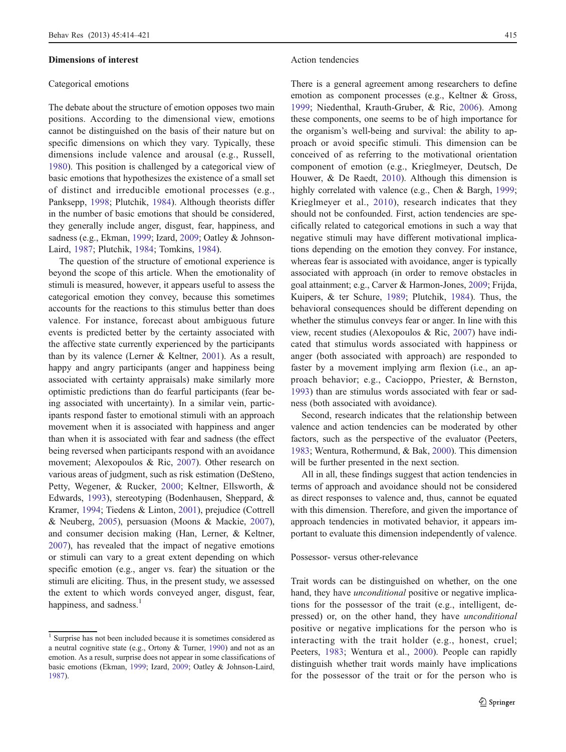### Dimensions of interest

#### Categorical emotions

The debate about the structure of emotion opposes two main positions. According to the dimensional view, emotions cannot be distinguished on the basis of their nature but on specific dimensions on which they vary. Typically, these dimensions include valence and arousal (e.g., Russell, [1980\)](#page-6-0). This position is challenged by a categorical view of basic emotions that hypothesizes the existence of a small set of distinct and irreducible emotional processes (e.g., Panksepp, [1998](#page-6-0); Plutchik, [1984](#page-6-0)). Although theorists differ in the number of basic emotions that should be considered, they generally include anger, disgust, fear, happiness, and sadness (e.g., Ekman, [1999](#page-6-0); Izard, [2009](#page-6-0); Oatley & Johnson-Laird, [1987;](#page-6-0) Plutchik, [1984;](#page-6-0) Tomkins, [1984\)](#page-7-0).

The question of the structure of emotional experience is beyond the scope of this article. When the emotionality of stimuli is measured, however, it appears useful to assess the categorical emotion they convey, because this sometimes accounts for the reactions to this stimulus better than does valence. For instance, forecast about ambiguous future events is predicted better by the certainty associated with the affective state currently experienced by the participants than by its valence (Lerner & Keltner, [2001](#page-6-0)). As a result, happy and angry participants (anger and happiness being associated with certainty appraisals) make similarly more optimistic predictions than do fearful participants (fear being associated with uncertainty). In a similar vein, participants respond faster to emotional stimuli with an approach movement when it is associated with happiness and anger than when it is associated with fear and sadness (the effect being reversed when participants respond with an avoidance movement; Alexopoulos & Ric, [2007](#page-6-0)). Other research on various areas of judgment, such as risk estimation (DeSteno, Petty, Wegener, & Rucker, [2000](#page-6-0); Keltner, Ellsworth, & Edwards, [1993](#page-6-0)), stereotyping (Bodenhausen, Sheppard, & Kramer, [1994](#page-6-0); Tiedens & Linton, [2001\)](#page-7-0), prejudice (Cottrell & Neuberg, [2005\)](#page-6-0), persuasion (Moons & Mackie, [2007](#page-6-0)), and consumer decision making (Han, Lerner, & Keltner, [2007\)](#page-6-0), has revealed that the impact of negative emotions or stimuli can vary to a great extent depending on which specific emotion (e.g., anger vs. fear) the situation or the stimuli are eliciting. Thus, in the present study, we assessed the extent to which words conveyed anger, disgust, fear, happiness, and sadness. $<sup>1</sup>$ </sup>

#### Action tendencies

There is a general agreement among researchers to define emotion as component processes (e.g., Keltner & Gross, [1999](#page-6-0); Niedenthal, Krauth-Gruber, & Ric, [2006\)](#page-6-0). Among these components, one seems to be of high importance for the organism's well-being and survival: the ability to approach or avoid specific stimuli. This dimension can be conceived of as referring to the motivational orientation component of emotion (e.g., Krieglmeyer, Deutsch, De Houwer, & De Raedt, [2010\)](#page-6-0). Although this dimension is highly correlated with valence (e.g., Chen & Bargh, [1999;](#page-6-0) Krieglmeyer et al., [2010](#page-6-0)), research indicates that they should not be confounded. First, action tendencies are specifically related to categorical emotions in such a way that negative stimuli may have different motivational implications depending on the emotion they convey. For instance, whereas fear is associated with avoidance, anger is typically associated with approach (in order to remove obstacles in goal attainment; e.g., Carver & Harmon-Jones, [2009](#page-6-0); Frijda, Kuipers, & ter Schure, [1989;](#page-6-0) Plutchik, [1984\)](#page-6-0). Thus, the behavioral consequences should be different depending on whether the stimulus conveys fear or anger. In line with this view, recent studies (Alexopoulos & Ric, [2007\)](#page-6-0) have indicated that stimulus words associated with happiness or anger (both associated with approach) are responded to faster by a movement implying arm flexion (i.e., an approach behavior; e.g., Cacioppo, Priester, & Bernston, [1993](#page-6-0)) than are stimulus words associated with fear or sadness (both associated with avoidance).

Second, research indicates that the relationship between valence and action tendencies can be moderated by other factors, such as the perspective of the evaluator (Peeters, [1983](#page-6-0); Wentura, Rothermund, & Bak, [2000\)](#page-7-0). This dimension will be further presented in the next section.

All in all, these findings suggest that action tendencies in terms of approach and avoidance should not be considered as direct responses to valence and, thus, cannot be equated with this dimension. Therefore, and given the importance of approach tendencies in motivated behavior, it appears important to evaluate this dimension independently of valence.

## Possessor- versus other-relevance

Trait words can be distinguished on whether, on the one hand, they have *unconditional* positive or negative implications for the possessor of the trait (e.g., intelligent, depressed) or, on the other hand, they have unconditional positive or negative implications for the person who is interacting with the trait holder (e.g., honest, cruel; Peeters, [1983;](#page-6-0) Wentura et al., [2000\)](#page-7-0). People can rapidly distinguish whether trait words mainly have implications for the possessor of the trait or for the person who is

<sup>&</sup>lt;sup>1</sup> Surprise has not been included because it is sometimes considered as a neutral cognitive state (e.g., Ortony & Turner, [1990\)](#page-6-0) and not as an emotion. As a result, surprise does not appear in some classifications of basic emotions (Ekman, [1999;](#page-6-0) Izard, [2009](#page-6-0); Oatley & Johnson-Laird, [1987\)](#page-6-0).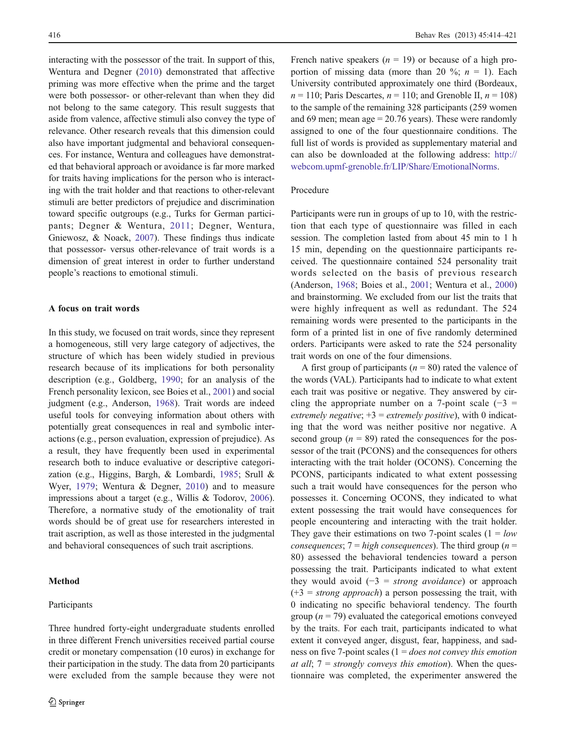interacting with the possessor of the trait. In support of this, Wentura and Degner ([2010](#page-7-0)) demonstrated that affective priming was more effective when the prime and the target were both possessor- or other-relevant than when they did not belong to the same category. This result suggests that aside from valence, affective stimuli also convey the type of relevance. Other research reveals that this dimension could also have important judgmental and behavioral consequences. For instance, Wentura and colleagues have demonstrated that behavioral approach or avoidance is far more marked for traits having implications for the person who is interacting with the trait holder and that reactions to other-relevant stimuli are better predictors of prejudice and discrimination toward specific outgroups (e.g., Turks for German participants; Degner & Wentura, [2011;](#page-6-0) Degner, Wentura, Gniewosz, & Noack, [2007](#page-6-0)). These findings thus indicate that possessor- versus other-relevance of trait words is a dimension of great interest in order to further understand people's reactions to emotional stimuli.

#### A focus on trait words

In this study, we focused on trait words, since they represent a homogeneous, still very large category of adjectives, the structure of which has been widely studied in previous research because of its implications for both personality description (e.g., Goldberg, [1990;](#page-6-0) for an analysis of the French personality lexicon, see Boies et al., [2001](#page-6-0)) and social judgment (e.g., Anderson, [1968\)](#page-6-0). Trait words are indeed useful tools for conveying information about others with potentially great consequences in real and symbolic interactions (e.g., person evaluation, expression of prejudice). As a result, they have frequently been used in experimental research both to induce evaluative or descriptive categorization (e.g., Higgins, Bargh, & Lombardi, [1985;](#page-6-0) Srull & Wyer, [1979](#page-6-0); Wentura & Degner, [2010\)](#page-7-0) and to measure impressions about a target (e.g., Willis & Todorov, [2006](#page-7-0)). Therefore, a normative study of the emotionality of trait words should be of great use for researchers interested in trait ascription, as well as those interested in the judgmental and behavioral consequences of such trait ascriptions.

# Method

## Participants

in three different French universities received partial course credit or monetary compensation (10 euros) in exchange for their participation in the study. The data from 20 participants were excluded from the sample because they were not

Three hundred forty-eight undergraduate students enrolled

French native speakers ( $n = 19$ ) or because of a high proportion of missing data (more than 20 %;  $n = 1$ ). Each University contributed approximately one third (Bordeaux,  $n = 110$ ; Paris Descartes,  $n = 110$ ; and Grenoble II,  $n = 108$ ) to the sample of the remaining 328 participants (259 women and 69 men; mean age  $= 20.76$  years). These were randomly assigned to one of the four questionnaire conditions. The full list of words is provided as supplementary material and can also be downloaded at the following address: [http://](http://webcom.upmf-grenoble.fr/LIP/Share/EmotionalNorms) [webcom.upmf-grenoble.fr/LIP/Share/EmotionalNorms](http://webcom.upmf-grenoble.fr/LIP/Share/EmotionalNorms).

# Procedure

Participants were run in groups of up to 10, with the restriction that each type of questionnaire was filled in each session. The completion lasted from about 45 min to 1 h 15 min, depending on the questionnaire participants received. The questionnaire contained 524 personality trait words selected on the basis of previous research (Anderson, [1968;](#page-6-0) Boies et al., [2001](#page-6-0); Wentura et al., [2000](#page-7-0)) and brainstorming. We excluded from our list the traits that were highly infrequent as well as redundant. The 524 remaining words were presented to the participants in the form of a printed list in one of five randomly determined orders. Participants were asked to rate the 524 personality trait words on one of the four dimensions.

A first group of participants ( $n = 80$ ) rated the valence of the words (VAL). Participants had to indicate to what extent each trait was positive or negative. They answered by circling the appropriate number on a 7-point scale  $(-3)$ extremely negative;  $+3$  = extremely positive), with 0 indicating that the word was neither positive nor negative. A second group ( $n = 89$ ) rated the consequences for the possessor of the trait (PCONS) and the consequences for others interacting with the trait holder (OCONS). Concerning the PCONS, participants indicated to what extent possessing such a trait would have consequences for the person who possesses it. Concerning OCONS, they indicated to what extent possessing the trait would have consequences for people encountering and interacting with the trait holder. They gave their estimations on two 7-point scales  $(1 = low$ consequences;  $7 = high consequences$ ). The third group (n = 80) assessed the behavioral tendencies toward a person possessing the trait. Participants indicated to what extent they would avoid  $(-3 = strong \, avoidance)$  or approach  $(+3 = strong$  approach) a person possessing the trait, with 0 indicating no specific behavioral tendency. The fourth group ( $n = 79$ ) evaluated the categorical emotions conveyed by the traits. For each trait, participants indicated to what extent it conveyed anger, disgust, fear, happiness, and sadness on five 7-point scales  $(1 = does not convey this emotion)$ at all;  $7 = strongly conveys this emotion$ . When the questionnaire was completed, the experimenter answered the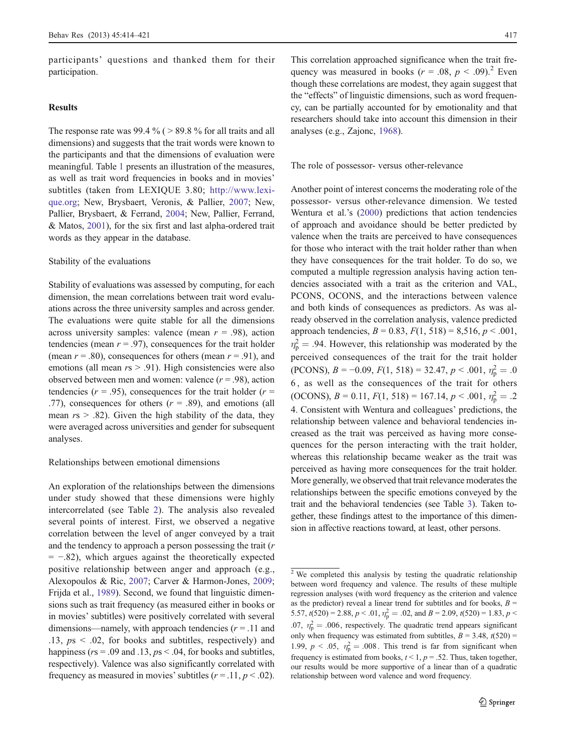participants' questions and thanked them for their participation.

# **Results**

The response rate was 99.4 % ( $> 89.8$  % for all traits and all dimensions) and suggests that the trait words were known to the participants and that the dimensions of evaluation were meaningful. Table [1](#page-4-0) presents an illustration of the measures, as well as trait word frequencies in books and in movies' subtitles (taken from LEXIQUE 3.80; [http://www.lexi](http://www.lexique.org)[que.org](http://www.lexique.org); New, Brysbaert, Veronis, & Pallier, [2007](#page-6-0); New, Pallier, Brysbaert, & Ferrand, [2004](#page-6-0); New, Pallier, Ferrand, & Matos, [2001\)](#page-6-0), for the six first and last alpha-ordered trait words as they appear in the database.

#### Stability of the evaluations

Stability of evaluations was assessed by computing, for each dimension, the mean correlations between trait word evaluations across the three university samples and across gender. The evaluations were quite stable for all the dimensions across university samples: valence (mean  $r = .98$ ), action tendencies (mean  $r = .97$ ), consequences for the trait holder (mean  $r = .80$ ), consequences for others (mean  $r = .91$ ), and emotions (all mean  $rs > .91$ ). High consistencies were also observed between men and women: valence  $(r = .98)$ , action tendencies ( $r = .95$ ), consequences for the trait holder ( $r =$ .77), consequences for others  $(r = .89)$ , and emotions (all mean  $rs > .82$ ). Given the high stability of the data, they were averaged across universities and gender for subsequent analyses.

#### Relationships between emotional dimensions

An exploration of the relationships between the dimensions under study showed that these dimensions were highly intercorrelated (see Table [2\)](#page-4-0). The analysis also revealed several points of interest. First, we observed a negative correlation between the level of anger conveyed by a trait and the tendency to approach a person possessing the trait (*r*  $=$  -.82), which argues against the theoretically expected positive relationship between anger and approach (e.g., Alexopoulos & Ric, [2007;](#page-6-0) Carver & Harmon-Jones, [2009](#page-6-0); Frijda et al., [1989\)](#page-6-0). Second, we found that linguistic dimensions such as trait frequency (as measured either in books or in movies' subtitles) were positively correlated with several dimensions—namely, with approach tendencies ( $r = .11$  and .13,  $ps < .02$ , for books and subtitles, respectively) and happiness ( $rs = .09$  and  $.13$ ,  $ps < .04$ , for books and subtitles, respectively). Valence was also significantly correlated with frequency as measured in movies' subtitles ( $r = .11, p < .02$ ).

This correlation approached significance when the trait frequency was measured in books ( $r = .08$ ,  $p < .09$ ).<sup>2</sup> Even though these correlations are modest, they again suggest that the "effects" of linguistic dimensions, such as word frequency, can be partially accounted for by emotionality and that researchers should take into account this dimension in their analyses (e.g., Zajonc, [1968\)](#page-7-0).

The role of possessor- versus other-relevance

Another point of interest concerns the moderating role of the possessor- versus other-relevance dimension. We tested Wentura et al.'s [\(2000](#page-7-0)) predictions that action tendencies of approach and avoidance should be better predicted by valence when the traits are perceived to have consequences for those who interact with the trait holder rather than when they have consequences for the trait holder. To do so, we computed a multiple regression analysis having action tendencies associated with a trait as the criterion and VAL, PCONS, OCONS, and the interactions between valence and both kinds of consequences as predictors. As was already observed in the correlation analysis, valence predicted approach tendencies,  $B = 0.83$ ,  $F(1, 518) = 8,516$ ,  $p < .001$ ,  $\eta_{\rm p}^2 = .94$ . However, this relationship was moderated by the perceived consequences of the trait for the trait holder (PCONS),  $B = -0.09$ ,  $F(1, 518) = 32.47$ ,  $p < .001$ ,  $\eta_p^2 = .0$ 6 , as well as the consequences of the trait for others (OCONS),  $B = 0.11$ ,  $F(1, 518) = 167.14$ ,  $p < .001$ ,  $\eta_p^2 = .2$ 4. Consistent with Wentura and colleagues' predictions, the relationship between valence and behavioral tendencies increased as the trait was perceived as having more consequences for the person interacting with the trait holder, whereas this relationship became weaker as the trait was perceived as having more consequences for the trait holder. More generally, we observed that trait relevance moderates the relationships between the specific emotions conveyed by the trait and the behavioral tendencies (see Table [3\)](#page-5-0). Taken together, these findings attest to the importance of this dimension in affective reactions toward, at least, other persons.

<sup>&</sup>lt;sup>2</sup> We completed this analysis by testing the quadratic relationship between word frequency and valence. The results of these multiple regression analyses (with word frequency as the criterion and valence as the predictor) reveal a linear trend for subtitles and for books,  $B =$ 5.57,  $t(520) = 2.88$ ,  $p < .01$ ,  $\eta_p^2 = .02$ , and  $B = 2.09$ ,  $t(520) = 1.83$ ,  $p <$ .07,  $\eta_p^2 = .006$ , respectively. The quadratic trend appears significant only when frequency was estimated from subtitles,  $B = 3.48$ ,  $t(520) =$ 1.99,  $p < .05$ ,  $\eta_p^2 = .008$ . This trend is far from significant when frequency is estimated from books,  $t < 1$ ,  $p = .52$ . Thus, taken together, our results would be more supportive of a linear than of a quadratic relationship between word valence and word frequency.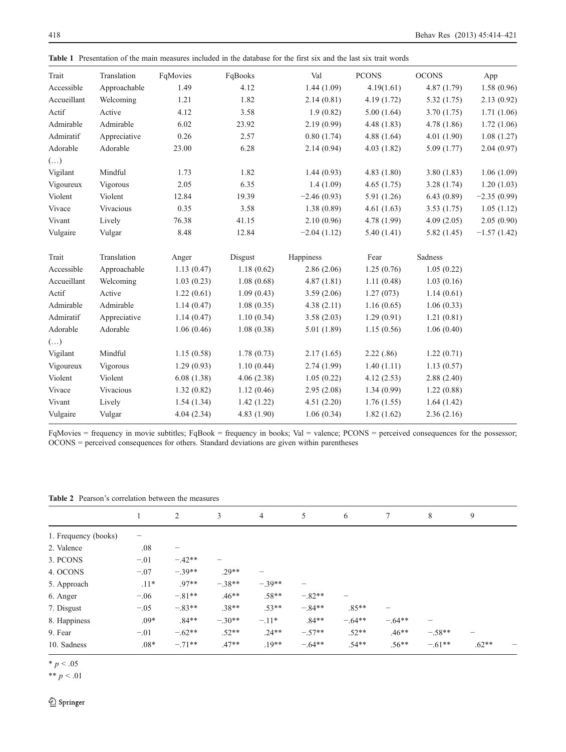| Trait       | Translation  | FqMovies   | FqBooks    | Val           | <b>PCONS</b> | $OCONS$     | App           |
|-------------|--------------|------------|------------|---------------|--------------|-------------|---------------|
| Accessible  | Approachable | 1.49       | 4.12       | 1.44(1.09)    | 4.19(1.61)   | 4.87 (1.79) | 1.58(0.96)    |
| Accueillant | Welcoming    | 1.21       | 1.82       | 2.14(0.81)    | 4.19(1.72)   | 5.32(1.75)  | 2.13(0.92)    |
| Actif       | Active       | 4.12       | 3.58       | 1.9(0.82)     | 5.00(1.64)   | 3.70(1.75)  | 1.71(1.06)    |
| Admirable   | Admirable    | 6.02       | 23.92      | 2.19(0.99)    | 4.48(1.83)   | 4.78(1.86)  | 1.72(1.06)    |
| Admiratif   | Appreciative | 0.26       | 2.57       | 0.80(1.74)    | 4.88(1.64)   | 4.01(1.90)  | 1.08(1.27)    |
| Adorable    | Adorable     | 23.00      | 6.28       | 2.14(0.94)    | 4.03(1.82)   | 5.09(1.77)  | 2.04(0.97)    |
| $(\ldots)$  |              |            |            |               |              |             |               |
| Vigilant    | Mindful      | 1.73       | 1.82       | 1.44(0.93)    | 4.83(1.80)   | 3.80(1.83)  | 1.06(1.09)    |
| Vigoureux   | Vigorous     | 2.05       | 6.35       | 1.4(1.09)     | 4.65(1.75)   | 3.28(1.74)  | 1.20(1.03)    |
| Violent     | Violent      | 12.84      | 19.39      | $-2.46(0.93)$ | 5.91 (1.26)  | 6.43(0.89)  | $-2.35(0.99)$ |
| Vivace      | Vivacious    | 0.35       | 3.58       | 1.38(0.89)    | 4.61(1.63)   | 3.53(1.75)  | 1.05(1.12)    |
| Vivant      | Lively       | 76.38      | 41.15      | 2.10(0.96)    | 4.78 (1.99)  | 4.09(2.05)  | 2.05(0.90)    |
| Vulgaire    | Vulgar       | 8.48       | 12.84      | $-2.04(1.12)$ | 5.40(1.41)   | 5.82(1.45)  | $-1.57(1.42)$ |
| Trait       | Translation  | Anger      | Disgust    | Happiness     | Fear         | Sadness     |               |
| Accessible  | Approachable | 1.13(0.47) | 1.18(0.62) | 2.86(2.06)    | 1.25(0.76)   | 1.05(0.22)  |               |
| Accueillant | Welcoming    | 1.03(0.23) | 1.08(0.68) | 4.87(1.81)    | 1.11(0.48)   | 1.03(0.16)  |               |
| Actif       | Active       | 1.22(0.61) | 1.09(0.43) | 3.59(2.06)    | 1.27(073)    | 1.14(0.61)  |               |
| Admirable   | Admirable    | 1.14(0.47) | 1.08(0.35) | 4.38(2.11)    | 1.16(0.65)   | 1.06(0.33)  |               |
| Admiratif   | Appreciative | 1.14(0.47) | 1.10(0.34) | 3.58(2.03)    | 1.29(0.91)   | 1.21(0.81)  |               |
| Adorable    | Adorable     | 1.06(0.46) | 1.08(0.38) | 5.01(1.89)    | 1.15(0.56)   | 1.06(0.40)  |               |
| $(\ldots)$  |              |            |            |               |              |             |               |
| Vigilant    | Mindful      | 1.15(0.58) | 1.78(0.73) | 2.17(1.65)    | 2.22(.86)    | 1.22(0.71)  |               |
| Vigoureux   | Vigorous     | 1.29(0.93) | 1.10(0.44) | 2.74(1.99)    | 1.40(1.11)   | 1.13(0.57)  |               |
| Violent     | Violent      | 6.08(1.38) | 4.06(2.38) | 1.05(0.22)    | 4.12(2.53)   | 2.88(2.40)  |               |
| Vivace      | Vivacious    | 1.32(0.82) | 1.12(0.46) | 2.95(2.08)    | 1.34(0.99)   | 1.22(0.88)  |               |
| Vivant      | Lively       | 1.54(1.34) | 1.42(1.22) | 4.51(2.20)    | 1.76(1.55)   | 1.64(1.42)  |               |
| Vulgaire    | Vulgar       | 4.04(2.34) | 4.83(1.90) | 1.06(0.34)    | 1.82(1.62)   | 2.36(2.16)  |               |

<span id="page-4-0"></span>

|  |  |  |  |  |  | <b>Table 1</b> Presentation of the main measures included in the database for the first six and the last six trait words |
|--|--|--|--|--|--|--------------------------------------------------------------------------------------------------------------------------|
|--|--|--|--|--|--|--------------------------------------------------------------------------------------------------------------------------|

FqMovies = frequency in movie subtitles; FqBook = frequency in books; Val = valence; PCONS = perceived consequences for the possessor; OCONS = perceived consequences for others. Standard deviations are given within parentheses

| Table 2 Pearson's correlation between the measures |
|----------------------------------------------------|
|                                                    |

|                      |                   | 2                 | 3        | 4                        | 5                              | 6        | 7                        | 8               | 9                        |  |
|----------------------|-------------------|-------------------|----------|--------------------------|--------------------------------|----------|--------------------------|-----------------|--------------------------|--|
| 1. Frequency (books) | $\qquad \qquad -$ |                   |          |                          |                                |          |                          |                 |                          |  |
| 2. Valence           | .08               | $\qquad \qquad -$ |          |                          |                                |          |                          |                 |                          |  |
| 3. PCONS             | $-.01$            | $-.42**$          |          |                          |                                |          |                          |                 |                          |  |
| 4. OCONS             | $-.07$            | $-.39**$          | $.29**$  | $\overline{\phantom{m}}$ |                                |          |                          |                 |                          |  |
| 5. Approach          | $.11*$            | $.97**$           | $-.38**$ | $-.39**$                 | $\qquad \qquad \longleftarrow$ |          |                          |                 |                          |  |
| 6. Anger             | $-.06$            | $-.81**$          | $.46**$  | $.58**$                  | $-.82**$                       |          |                          |                 |                          |  |
| 7. Disgust           | $-.05$            | $-.83**$          | $.38**$  | $.53**$                  | $-.84**$                       | $.85**$  | $\overline{\phantom{m}}$ |                 |                          |  |
| 8. Happiness         | $.09*$            | $.84**$           | $-.30**$ | $-.11*$                  | $.84**$                        | $-.64**$ | $-.64**$                 | $\qquad \qquad$ |                          |  |
| 9. Fear              | $-.01$            | $-.62**$          | $.52**$  | $.24**$                  | $-.57**$                       | $.52**$  | $.46**$                  | $-.58**$        | $\overline{\phantom{0}}$ |  |
| 10. Sadness          | $.08*$            | $-.71**$          | $.47**$  | $.19**$                  | $-.64**$                       | $.54**$  | $.56**$                  | $-.61**$        | $.62**$                  |  |

 $* p < .05$ 

\*\*  $p < .01$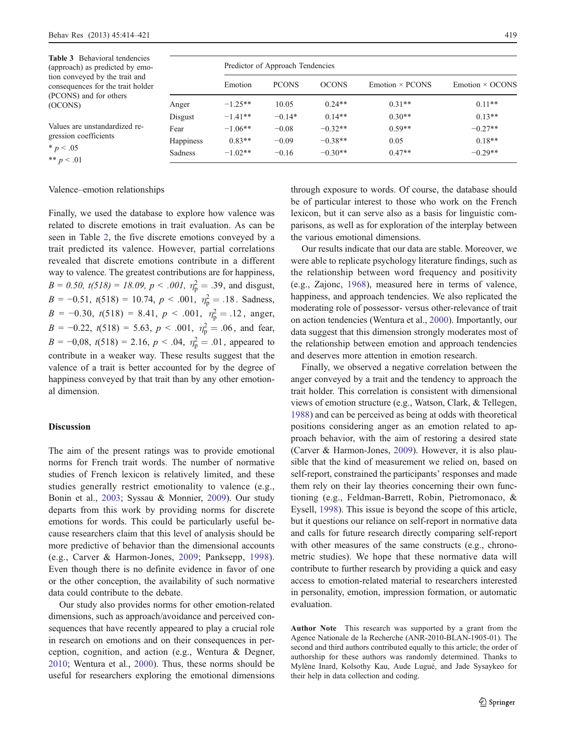<span id="page-5-0"></span>

| <b>Table 3</b> Behavioral tendencies<br>(approach) as predicted by emo- |           | Predictor of Approach Tendencies |              |              |                        |                        |  |  |  |
|-------------------------------------------------------------------------|-----------|----------------------------------|--------------|--------------|------------------------|------------------------|--|--|--|
| tion conveyed by the trait and<br>consequences for the trait holder     |           | Emotion                          | <b>PCONS</b> | <b>OCONS</b> | Emotion $\times$ PCONS | Emotion $\times$ OCONS |  |  |  |
| (PCONS) and for others<br>(OCONS)                                       | Anger     | $-1.25**$                        | 10.05        | $0.24**$     | $0.31**$               | $0.11**$               |  |  |  |
|                                                                         | Disgust   | $-1.41**$                        | $-0.14*$     | $0.14**$     | $0.30**$               | $0.13**$               |  |  |  |
| Values are unstandardized re-                                           | Fear      | $-1.06**$                        | $-0.08$      | $-0.32**$    | $0.59**$               | $-0.27**$              |  |  |  |
| gression coefficients                                                   | Happiness | $0.83**$                         | $-0.09$      | $-0.38**$    | 0.05                   | $0.18**$               |  |  |  |
| * $p < .05$<br>** $p < .01$                                             | Sadness   | $-1.02**$                        | $-0.16$      | $-0.30**$    | $0.47**$               | $-0.29**$              |  |  |  |

Valence–emotion relationships

Finally, we used the database to explore how valence was related to discrete emotions in trait evaluation. As can be seen in Table [2](#page-4-0), the five discrete emotions conveyed by a trait predicted its valence. However, partial correlations revealed that discrete emotions contribute in a different way to valence. The greatest contributions are for happiness,  $B = 0.50$ ,  $t(518) = 18.09$ ,  $p < .001$ ,  $\eta_p^2 = .39$ , and disgust,  $B = -0.51$ ,  $t(518) = 10.74$ ,  $p < .001$ ,  $\eta_p^2 = .18$ . Sadness,  $B = -0.30$ ,  $t(518) = 8.41$ ,  $p < .001$ ,  $\eta_p^2 = .12$ , anger,  $B = -0.22$ ,  $t(518) = 5.63$ ,  $p < .001$ ,  $\eta_p^2 = .06$ , and fear,  $B = -0.08$ ,  $t(518) = 2.16$ ,  $p < .04$ ,  $\eta_p^2 = .01$ , appeared to contribute in a weaker way. These results suggest that the valence of a trait is better accounted for by the degree of happiness conveyed by that trait than by any other emotional dimension.

# Discussion

The aim of the present ratings was to provide emotional norms for French trait words. The number of normative studies of French lexicon is relatively limited, and these studies generally restrict emotionality to valence (e.g., Bonin et al., [2003](#page-6-0); Syssau & Monnier, [2009](#page-7-0)). Our study departs from this work by providing norms for discrete emotions for words. This could be particularly useful because researchers claim that this level of analysis should be more predictive of behavior than the dimensional accounts (e.g., Carver & Harmon-Jones, [2009;](#page-6-0) Panksepp, [1998](#page-6-0)). Even though there is no definite evidence in favor of one or the other conception, the availability of such normative data could contribute to the debate.

Our study also provides norms for other emotion-related dimensions, such as approach/avoidance and perceived consequences that have recently appeared to play a crucial role in research on emotions and on their consequences in perception, cognition, and action (e.g., Wentura & Degner, [2010;](#page-7-0) Wentura et al., [2000](#page-7-0)). Thus, these norms should be useful for researchers exploring the emotional dimensions

through exposure to words. Of course, the database should be of particular interest to those who work on the French lexicon, but it can serve also as a basis for linguistic comparisons, as well as for exploration of the interplay between the various emotional dimensions.

Our results indicate that our data are stable. Moreover, we were able to replicate psychology literature findings, such as the relationship between word frequency and positivity (e.g., Zajonc, [1968\)](#page-7-0), measured here in terms of valence, happiness, and approach tendencies. We also replicated the moderating role of possessor- versus other-relevance of trait on action tendencies (Wentura et al., [2000](#page-7-0)). Importantly, our data suggest that this dimension strongly moderates most of the relationship between emotion and approach tendencies and deserves more attention in emotion research.

Finally, we observed a negative correlation between the anger conveyed by a trait and the tendency to approach the trait holder. This correlation is consistent with dimensional views of emotion structure (e.g., Watson, Clark, & Tellegen, [1988](#page-7-0)) and can be perceived as being at odds with theoretical positions considering anger as an emotion related to approach behavior, with the aim of restoring a desired state (Carver & Harmon-Jones, [2009](#page-6-0)). However, it is also plausible that the kind of measurement we relied on, based on self-report, constrained the participants' responses and made them rely on their lay theories concerning their own functioning (e.g., Feldman-Barrett, Robin, Pietromonaco, & Eysell, [1998](#page-6-0)). This issue is beyond the scope of this article, but it questions our reliance on self-report in normative data and calls for future research directly comparing self-report with other measures of the same constructs (e.g., chronometric studies). We hope that these normative data will contribute to further research by providing a quick and easy access to emotion-related material to researchers interested in personality, emotion, impression formation, or automatic evaluation.

Author Note This research was supported by a grant from the Agence Nationale de la Recherche (ANR-2010-BLAN-1905-01). The second and third authors contributed equally to this article; the order of authorship for these authors was randomly determined. Thanks to Mylène Inard, Kolsothy Kau, Aude Lugué, and Jade Sysaykeo for their help in data collection and coding.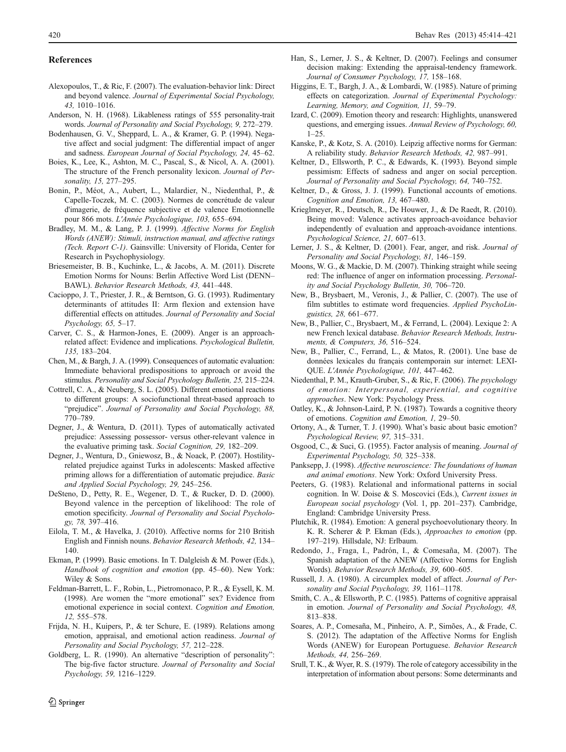#### <span id="page-6-0"></span>References

- Alexopoulos, T., & Ric, F. (2007). The evaluation-behavior link: Direct and beyond valence. Journal of Experimental Social Psychology, 43, 1010–1016.
- Anderson, N. H. (1968). Likableness ratings of 555 personality-trait words. Journal of Personality and Social Psychology, 9, 272–279.
- Bodenhausen, G. V., Sheppard, L. A., & Kramer, G. P. (1994). Negative affect and social judgment: The differential impact of anger and sadness. European Journal of Social Psychology, 24, 45–62.
- Boies, K., Lee, K., Ashton, M. C., Pascal, S., & Nicol, A. A. (2001). The structure of the French personality lexicon. Journal of Personality, 15, 277–295.
- Bonin, P., Méot, A., Aubert, L., Malardier, N., Niedenthal, P., & Capelle-Toczek, M. C. (2003). Normes de concrétude de valeur d'imagerie, de fréquence subjective et de valence Emotionnelle pour 866 mots. L'Année Psychologique, 103, 655–694.
- Bradley, M. M., & Lang, P. J. (1999). Affective Norms for English Words (ANEW): Stimuli, instruction manual, and affective ratings (Tech. Report C-1). Gainsville: University of Florida, Center for Research in Psychophysiology.
- Briesemeister, B. B., Kuchinke, L., & Jacobs, A. M. (2011). Discrete Emotion Norms for Nouns: Berlin Affective Word List (DENN– BAWL). Behavior Research Methods, 43, 441–448.
- Cacioppo, J. T., Priester, J. R., & Berntson, G. G. (1993). Rudimentary determinants of attitudes II: Arm flexion and extension have differential effects on attitudes. Journal of Personality and Social Psychology, 65, 5–17.
- Carver, C. S., & Harmon-Jones, E. (2009). Anger is an approachrelated affect: Evidence and implications. Psychological Bulletin, 135, 183–204.
- Chen, M., & Bargh, J. A. (1999). Consequences of automatic evaluation: Immediate behavioral predispositions to approach or avoid the stimulus. Personality and Social Psychology Bulletin, 25, 215–224.
- Cottrell, C. A., & Neuberg, S. L. (2005). Different emotional reactions to different groups: A sociofunctional threat-based approach to "prejudice". Journal of Personality and Social Psychology, 88, 770–789.
- Degner, J., & Wentura, D. (2011). Types of automatically activated prejudice: Assessing possessor- versus other-relevant valence in the evaluative priming task. Social Cognition, 29, 182–209.
- Degner, J., Wentura, D., Gniewosz, B., & Noack, P. (2007). Hostilityrelated prejudice against Turks in adolescents: Masked affective priming allows for a differentiation of automatic prejudice. Basic and Applied Social Psychology, 29, 245–256.
- DeSteno, D., Petty, R. E., Wegener, D. T., & Rucker, D. D. (2000). Beyond valence in the perception of likelihood: The role of emotion specificity. Journal of Personality and Social Psychology, 78, 397–416.
- Eilola, T. M., & Havelka, J. (2010). Affective norms for 210 British English and Finnish nouns. Behavior Research Methods, 42, 134– 140.
- Ekman, P. (1999). Basic emotions. In T. Dalgleish & M. Power (Eds.), Handbook of cognition and emotion (pp. 45–60). New York: Wiley & Sons.
- Feldman-Barrett, L. F., Robin, L., Pietromonaco, P. R., & Eysell, K. M. (1998). Are women the "more emotional" sex? Evidence from emotional experience in social context. Cognition and Emotion, 12, 555–578.
- Frijda, N. H., Kuipers, P., & ter Schure, E. (1989). Relations among emotion, appraisal, and emotional action readiness. Journal of Personality and Social Psychology, 57, 212–228.
- Goldberg, L. R. (1990). An alternative "description of personality": The big-five factor structure. Journal of Personality and Social Psychology, 59, 1216–1229.
- Han, S., Lerner, J. S., & Keltner, D. (2007). Feelings and consumer decision making: Extending the appraisal-tendency framework. Journal of Consumer Psychology, 17, 158–168.
- Higgins, E. T., Bargh, J. A., & Lombardi, W. (1985). Nature of priming effects on categorization. Journal of Experimental Psychology: Learning, Memory, and Cognition, 11, 59–79.
- Izard, C. (2009). Emotion theory and research: Highlights, unanswered questions, and emerging issues. Annual Review of Psychology, 60,  $1-25$
- Kanske, P., & Kotz, S. A. (2010). Leipzig affective norms for German: A reliability study. Behavior Research Methods, 42, 987–991.
- Keltner, D., Ellsworth, P. C., & Edwards, K. (1993). Beyond simple pessimism: Effects of sadness and anger on social perception. Journal of Personality and Social Psychology, 64, 740–752.
- Keltner, D., & Gross, J. J. (1999). Functional accounts of emotions. Cognition and Emotion, 13, 467–480.
- Krieglmeyer, R., Deutsch, R., De Houwer, J., & De Raedt, R. (2010). Being moved: Valence activates approach-avoidance behavior independently of evaluation and approach-avoidance intentions. Psychological Science, 21, 607–613.
- Lerner, J. S., & Keltner, D. (2001). Fear, anger, and risk. Journal of Personality and Social Psychology, 81, 146–159.
- Moons, W. G., & Mackie, D. M. (2007). Thinking straight while seeing red: The influence of anger on information processing. Personality and Social Psychology Bulletin, 30, 706–720.
- New, B., Brysbaert, M., Veronis, J., & Pallier, C. (2007). The use of film subtitles to estimate word frequencies. Applied PsychoLinguistics, 28, 661–677.
- New, B., Pallier, C., Brysbaert, M., & Ferrand, L. (2004). Lexique 2: A new French lexical database. Behavior Research Methods, Instruments, & Computers, 36, 516–524.
- New, B., Pallier, C., Ferrand, L., & Matos, R. (2001). Une base de données lexicales du français contemporain sur internet: LEXI-QUE. L'Année Psychologique, 101, 447–462.
- Niedenthal, P. M., Krauth-Gruber, S., & Ric, F. (2006). The psychology of emotion: Interpersonal, experiential, and cognitive approaches. New York: Psychology Press.
- Oatley, K., & Johnson-Laird, P. N. (1987). Towards a cognitive theory of emotions. Cognition and Emotion, 1, 29–50.
- Ortony, A., & Turner, T. J. (1990). What's basic about basic emotion? Psychological Review, 97, 315–331.
- Osgood, C., & Suci, G. (1955). Factor analysis of meaning. Journal of Experimental Psychology, 50, 325–338.
- Panksepp, J. (1998). Affective neuroscience: The foundations of human and animal emotions. New York: Oxford University Press.
- Peeters, G. (1983). Relational and informational patterns in social cognition. In W. Doise & S. Moscovici (Eds.), Current issues in European social psychology (Vol. 1, pp. 201–237). Cambridge, England: Cambridge University Press.
- Plutchik, R. (1984). Emotion: A general psychoevolutionary theory. In K. R. Scherer & P. Ekman (Eds.), Approaches to emotion (pp. 197–219). Hillsdale, NJ: Erlbaum.
- Redondo, J., Fraga, I., Padrón, I., & Comesaña, M. (2007). The Spanish adaptation of the ANEW (Affective Norms for English Words). Behavior Research Methods, 39, 600–605.
- Russell, J. A. (1980). A circumplex model of affect. Journal of Personality and Social Psychology, 39, 1161–1178.
- Smith, C. A., & Ellsworth, P. C. (1985). Patterns of cognitive appraisal in emotion. Journal of Personality and Social Psychology, 48, 813–838.
- Soares, A. P., Comesaña, M., Pinheiro, A. P., Simões, A., & Frade, C. S. (2012). The adaptation of the Affective Norms for English Words (ANEW) for European Portuguese. Behavior Research Methods, 44, 256–269.
- Srull, T. K., & Wyer, R. S. (1979). The role of category accessibility in the interpretation of information about persons: Some determinants and